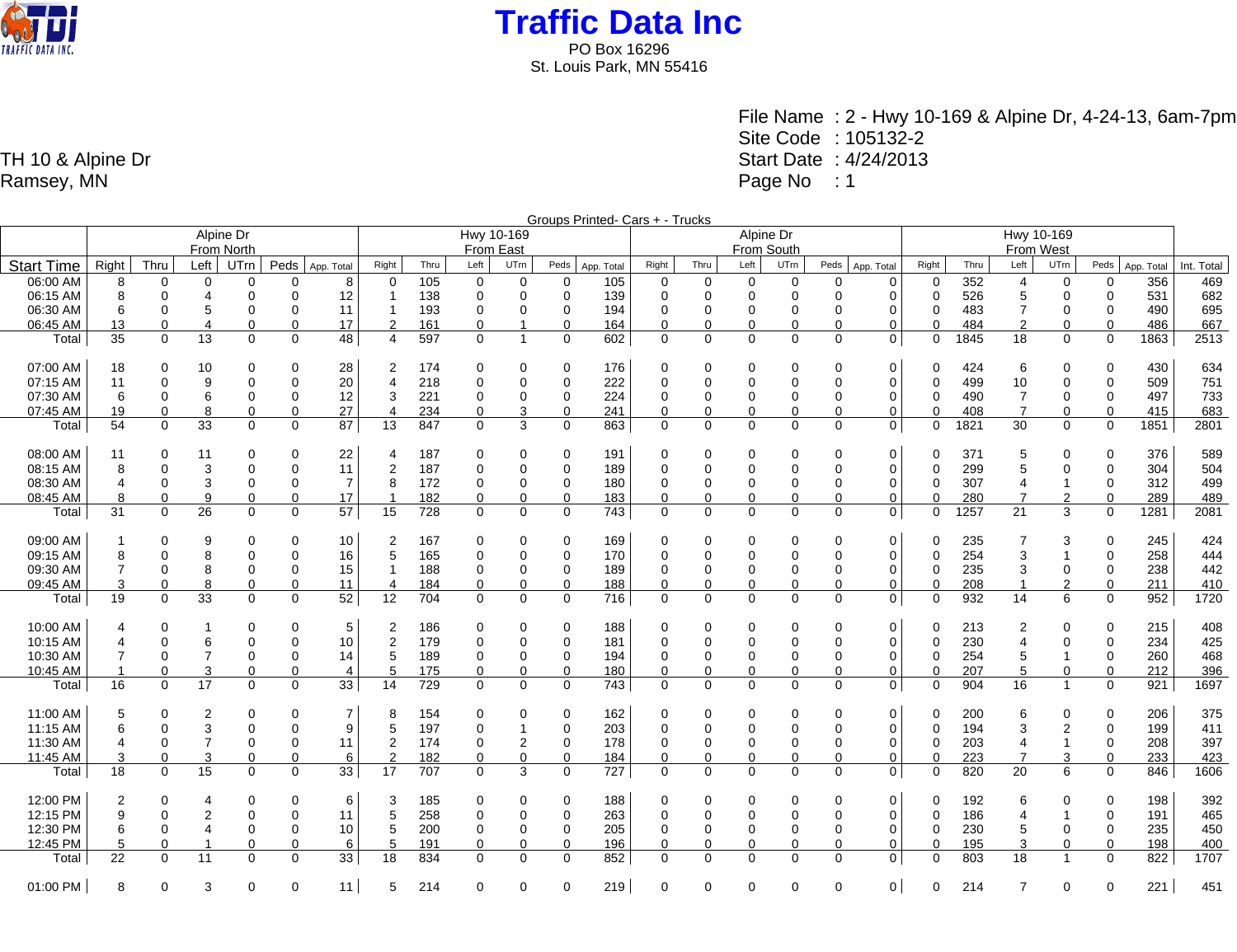

> File Name : 2 - Hwy 10-169 & Alpine Dr, 4-24-13, 6am-7pm Site Code : 105132-2 Start Date : 4/24/2013 Page No : 1

TH 10 & Alpine Dr Ramsey, MN

|                   |                |             |                |                |              |                |                |            |             |                |                | Groups Printed- Cars + - Trucks |             |             |                |             |          |                |             |           |                |                |                |            |            |  |
|-------------------|----------------|-------------|----------------|----------------|--------------|----------------|----------------|------------|-------------|----------------|----------------|---------------------------------|-------------|-------------|----------------|-------------|----------|----------------|-------------|-----------|----------------|----------------|----------------|------------|------------|--|
|                   | Alpine Dr      |             |                |                |              |                |                | Hwy 10-169 |             |                |                |                                 |             |             | Alpine Dr      |             |          |                |             |           |                |                |                |            |            |  |
|                   | From North     |             |                |                |              |                | From East      |            |             |                |                |                                 | From South  |             |                |             |          |                |             | From West |                |                |                |            |            |  |
| <b>Start Time</b> | Right          | Thru        | Left           | <b>UTrn</b>    | Peds         | App. Total     | Right          | Thru       | Left        | UTrn           | Peds           | App. Total                      | Right       | Thru        | Left           | UTrn        | Peds     | App. Total     | Right       | Thru      | Left           | UTrn           | Peds           | App. Total | Int. Total |  |
| 06:00 AM          | 8              | $\Omega$    | 0              | $\Omega$       | $\Omega$     | 8              | $\Omega$       | 105        | 0           | 0              | 0              | 105                             | $\Omega$    | 0           | $\mathbf 0$    | 0           | 0        | 0              | $\Omega$    | 352       | $\overline{4}$ | $\Omega$       | 0              | 356        | 469        |  |
| 06:15 AM          | 8              | $\Omega$    | 4              | $\mathbf 0$    | $\Omega$     | 12             | $\overline{1}$ | 138        | $\mathbf 0$ | $\mathbf 0$    | 0              | 139                             | $\mathbf 0$ | $\mathbf 0$ | $\mathbf 0$    | 0           | 0        | 0              | $\mathbf 0$ | 526       | 5              | $\Omega$       | 0              | 531        | 682        |  |
| 06:30 AM          | 6              | $\Omega$    | 5              | $\Omega$       | $\mathbf{0}$ | 11             | $\overline{1}$ | 193        | $\Omega$    | $\Omega$       | $\Omega$       | 194                             | $\Omega$    | $\mathbf 0$ | $\mathbf 0$    | $\Omega$    | 0        | $\mathbf 0$    | $\Omega$    | 483       | $\overline{7}$ | $\Omega$       | $\overline{0}$ | 490        | 695        |  |
| 06:45 AM          | 13             | $\Omega$    | 4              | $\mathbf 0$    | $\Omega$     | 17             | $\overline{2}$ | 161        | $\Omega$    |                | 0              | 164                             | 0           | $\Omega$    | $\mathbf 0$    | $\Omega$    | 0        | 0              | $\Omega$    | 484       | $\overline{2}$ | $\Omega$       | $\Omega$       | 486        | 667        |  |
| Total             | 35             | $\Omega$    | 13             | $\Omega$       | $\Omega$     | 48             | 4              | 597        | $\Omega$    | $\overline{1}$ | $\Omega$       | 602                             | $\Omega$    | $\Omega$    | $\Omega$       | $\Omega$    | $\Omega$ | 0 <sup>1</sup> | $\Omega$    | 1845      | 18             | $\Omega$       | $\Omega$       | 1863       | 2513       |  |
|                   |                |             |                |                |              |                |                |            |             |                |                |                                 |             |             |                |             |          |                |             |           |                |                |                |            |            |  |
| 07:00 AM          | 18             | $\Omega$    | 10             | 0              | 0            | 28             | $\overline{2}$ | 174        | 0           | 0              | $\overline{0}$ | 176                             | 0           | 0           | 0              | 0           | 0        | 0              | $\mathbf 0$ | 424       | 6              | $\Omega$       | 0              | 430        | 634        |  |
| 07:15 AM          | 11             | $\Omega$    | 9              | $\Omega$       | $\Omega$     | 20             | 4              | 218        | $\Omega$    | 0              | 0              | 222                             | $\Omega$    | 0           | $\mathbf 0$    | 0           | 0        | 0              | $\mathbf 0$ | 499       | 10             | $\Omega$       | $\mathbf 0$    | 509        | 751        |  |
| 07:30 AM          | 6              | $\Omega$    | 6              | $\mathbf 0$    | $\Omega$     | 12             | 3              | 221        | $\Omega$    | $\mathbf 0$    | 0              | 224                             | $\Omega$    | 0           | $\mathbf 0$    | 0           | 0        | 0              | $\Omega$    | 490       | $\overline{7}$ | $\Omega$       | $\mathbf 0$    | 497        | 733        |  |
| 07:45 AM          | 19             | $\Omega$    | 8              | $\mathbf 0$    | $\Omega$     | 27             | $\overline{4}$ | 234        | $\Omega$    | 3              | 0              | 241                             | 0           | 0           | $\mathbf 0$    | 0           | 0        | 0              | 0           | 408       | $\overline{7}$ | $\Omega$       | $\mathbf 0$    | 415        | 683        |  |
| Total             | 54             | $\mathbf 0$ | 33             | $\mathbf 0$    | $\mathbf 0$  | 87             | 13             | 847        | $\Omega$    | 3              | 0              | 863                             | $\mathbf 0$ | 0           | $\mathbf 0$    | $\mathbf 0$ | 0        | 0 <sup>1</sup> | $\Omega$    | 1821      | 30             | $\mathbf 0$    | $\mathbf 0$    | 1851       | 2801       |  |
|                   |                |             |                |                |              |                |                |            |             |                |                |                                 |             |             |                |             |          |                |             |           |                |                |                |            |            |  |
| 08:00 AM          | 11             | $\Omega$    | 11             | 0              | $\Omega$     | 22             | 4              | 187        | 0           | 0              | 0              | 191                             | $\Omega$    | 0           | 0              | 0           | 0        | 0              | 0           | 371       | 5              | 0              | 0              | 376        | 589        |  |
| 08:15 AM          | 8              | $\Omega$    | 3              | $\Omega$       | 0            | 11             | $\overline{2}$ | 187        | $\Omega$    | $\Omega$       | 0              | 189                             | $\Omega$    | $\Omega$    | $\mathbf 0$    | 0           | $\Omega$ | 0              | $\mathbf 0$ | 299       | 5              | $\Omega$       | $\mathbf 0$    | 304        | 504        |  |
| 08:30 AM          | 4              | $\Omega$    | 3              | $\mathbf 0$    | $\mathbf 0$  | $\overline{7}$ | 8              | 172        | $\mathbf 0$ | $\mathbf 0$    | 0              | 180                             | $\Omega$    | 0           | $\mathbf 0$    | 0           | 0        | 0              | $\mathbf 0$ | 307       | $\overline{4}$ | $\mathbf 1$    | 0              | 312        | 499        |  |
| 08:45 AM          | 8              | 0           | 9              | $\mathbf 0$    | $\Omega$     | 17             | -1             | 182        | $\mathbf 0$ | 0              | $\mathbf 0$    | 183                             | $\mathbf 0$ | $\Omega$    | $\Omega$       | 0           | 0        | 0              | $\Omega$    | 280       | $\overline{7}$ | $\overline{2}$ | $\Omega$       | 289        | 489        |  |
| Total             | 31             | $\Omega$    | 26             | $\Omega$       | $\Omega$     | 57             | 15             | 728        | $\Omega$    | $\mathbf 0$    | $\mathbf 0$    | 743                             | $\mathbf 0$ | 0           | $\mathbf 0$    | $\Omega$    | 0        | 0 <sup>1</sup> | $\Omega$    | 1257      | 21             | 3              | $\mathbf 0$    | 1281       | 2081       |  |
|                   |                |             |                |                |              |                |                |            |             |                |                |                                 |             |             |                |             |          |                |             |           |                |                |                |            |            |  |
| 09:00 AM          | -1             | $\Omega$    | 9              | $\mathbf 0$    | $\Omega$     | 10             | 2              | 167        | 0           | 0              | 0              | 169                             | $\Omega$    | 0           | 0              | 0           | 0        | 0              | 0           | 235       | 7              | 3              | 0              | 245        | 424        |  |
| 09:15 AM          | 8              | $\Omega$    | 8              | $\overline{0}$ | $\mathbf 0$  | 16             | 5              | 165        | $\mathbf 0$ | $\mathbf 0$    | 0              | 170                             | $\mathbf 0$ | $\mathbf 0$ | $\mathbf 0$    | $\mathbf 0$ | 0        | 0              | 0           | 254       | 3              | $\overline{1}$ | 0              | 258        | 444        |  |
| 09:30 AM          | 7              | $\Omega$    | 8              | $\mathbf 0$    | 0            | 15             | -1             | 188        | $\Omega$    | $\mathbf 0$    | 0              | 189                             | $\Omega$    | 0           | $\mathbf 0$    | 0           | 0        | 0              | $\Omega$    | 235       | 3              | $\mathbf 0$    | 0              | 238        | 442        |  |
| 09:45 AM          | 3              | $\Omega$    | 8              | 0              | $\Omega$     | 11             | $\overline{4}$ | 184        | $\mathbf 0$ | 0              | 0              | 188                             | 0           | 0           | 0              | 0           | 0        | 0              | 0           | 208       | $\overline{1}$ | $\overline{2}$ | 0              | 211        | 410        |  |
| Total             | 19             | $\Omega$    | 33             | $\Omega$       | $\Omega$     | 52             | 12             | 704        | $\Omega$    | $\mathbf 0$    | $\mathbf 0$    | 716                             | $\Omega$    | 0           | $\mathbf 0$    | $\Omega$    | 0        | $\overline{0}$ | $\Omega$    | 932       | 14             | 6              | $\mathbf 0$    | 952        | 1720       |  |
|                   |                |             |                |                |              |                |                |            |             |                |                |                                 |             |             |                |             |          |                |             |           |                |                |                |            |            |  |
| 10:00 AM          | 4              | $\Omega$    | 1              | 0              | $\Omega$     | 5              | 2              | 186        | 0           | 0              | 0              | 188                             | 0           | 0           | $\mathbf 0$    | 0           | 0        | 0              | $\mathbf 0$ | 213       | 2              | 0              | 0              | 215        | 408        |  |
| 10:15 AM          | 4              | $\Omega$    | 6              | $\Omega$       | $\mathbf 0$  | 10             | $\overline{2}$ | 179        | $\Omega$    | $\Omega$       | $\mathbf 0$    | 181                             | $\Omega$    | $\Omega$    | $\mathbf 0$    | $\mathbf 0$ | $\Omega$ | 0              | $\Omega$    | 230       | 4              | $\Omega$       | $\mathbf 0$    | 234        | 425        |  |
| 10:30 AM          | 7              | $\Omega$    | $\overline{7}$ | $\mathbf 0$    | $\Omega$     | 14             | 5              | 189        | $\Omega$    | $\Omega$       | $\Omega$       | 194                             | $\Omega$    | $\Omega$    | $\Omega$       | 0           | 0        | 0              | $\Omega$    | 254       | 5              | -1             | $\mathbf 0$    | 260        | 468        |  |
| 10:45 AM          |                | $\Omega$    | 3              | 0              | $\Omega$     | $\overline{4}$ | 5              | 175        | $\Omega$    | 0              | 0              | 180                             | 0           | 0           | $\mathbf 0$    | 0           | 0        | 0              | $\Omega$    | 207       | 5              | 0              | $\Omega$       | 212        | 396        |  |
| Total             | 16             | $\mathbf 0$ | 17             | $\mathbf 0$    | $\mathbf 0$  | 33             | 14             | 729        | 0           | $\mathbf 0$    | $\mathbf 0$    | 743                             | $\mathbf 0$ | $\mathbf 0$ | $\mathbf 0$    | $\mathbf 0$ | 0        | $\mathbf 0$    | $\mathbf 0$ | 904       | 16             | $\overline{1}$ | $\mathbf 0$    | 921        | 1697       |  |
|                   |                |             |                |                |              |                |                |            |             |                |                |                                 |             |             |                |             |          |                |             |           |                |                |                |            |            |  |
| 11:00 AM          | 5              | $\Omega$    | 2              | 0              | 0            | $\overline{7}$ | 8              | 154        | 0           | 0              | 0              | 162                             | 0           | 0           | $\mathbf 0$    | 0           | 0        | 0              | $\mathbf 0$ | 200       | 6              | 0              | 0              | 206        | 375        |  |
| 11:15 AM          | 6              | $\Omega$    | 3              | $\mathbf 0$    | $\mathbf 0$  | 9              | 5              | 197        | $\Omega$    | $\overline{1}$ | $\mathbf 0$    | 203                             | $\Omega$    | $\Omega$    | $\mathbf 0$    | $\mathbf 0$ | 0        | 0              | $\Omega$    | 194       | 3              | $\overline{2}$ | $\mathbf 0$    | 199        | 411        |  |
| 11:30 AM          | 4              | $\Omega$    | $\overline{7}$ | $\mathbf 0$    | $\Omega$     | 11             | 2              | 174        | $\Omega$    | $\overline{c}$ | $\mathbf 0$    | 178                             | $\Omega$    | $\Omega$    | $\mathbf 0$    | 0           | 0        | 0              | $\Omega$    | 203       | $\overline{4}$ | -1             | $\mathbf 0$    | 208        | 397        |  |
| 11:45 AM          | 3              | $\Omega$    | 3              | $\mathbf 0$    | $\mathbf 0$  | 6              | $\overline{2}$ | 182        | $\Omega$    | 0              | 0              | 184                             | 0           | 0           | $\mathbf 0$    | 0           | 0        | 0              | $\Omega$    | 223       | $\overline{7}$ | 3              | $\mathbf 0$    | 233        | 423        |  |
| Total             | 18             | $\Omega$    | 15             | $\mathbf 0$    | $\Omega$     | 33             | 17             | 707        | $\Omega$    | 3              | $\mathbf 0$    | 727                             | $\mathbf 0$ | $\mathbf 0$ | $\mathbf 0$    | $\mathbf 0$ | 0        | $\mathbf 0$    | $\mathbf 0$ | 820       | 20             | 6              | $\mathbf 0$    | 846        | 1606       |  |
|                   |                |             |                |                |              |                |                |            |             |                |                |                                 |             |             |                |             |          |                |             |           |                |                |                |            |            |  |
| 12:00 PM          | $\overline{2}$ | $\Omega$    | 4              | 0              | $\Omega$     | 6              | 3              | 185        | 0           | 0              | 0              | 188                             | 0           | 0           | $\Omega$       | 0           | 0        | 0              | $\mathbf 0$ | 192       | 6              | $\Omega$       | $\mathbf 0$    | 198        | 392        |  |
| 12:15 PM          | 9              | $\Omega$    | 2              | $\overline{0}$ | $\mathbf 0$  | 11             | 5              | 258        | $\Omega$    | $\Omega$       | 0              | 263                             | $\Omega$    | $\Omega$    | $\Omega$       | 0           | 0        | 0              | $\mathbf 0$ | 186       | 4              |                | 0              | 191        | 465        |  |
| 12:30 PM          | 6              | $\Omega$    | 4              | $\mathbf 0$    | 0            | 10             | 5              | 200        | $\mathbf 0$ | 0              | 0              | 205                             | $\Omega$    | $\mathbf 0$ | $\mathbf 0$    | 0           | 0        | 0              | $\Omega$    | 230       | 5              | $\mathbf 0$    | 0              | 235        | 450        |  |
| 12:45 PM          | 5              | $\Omega$    |                | $\Omega$       | $\Omega$     | 6              | 5              | 191        | $\Omega$    | 0              | 0              | 196                             | 0           | 0           | $\overline{0}$ | $\mathbf 0$ | $\Omega$ | 0              | $\Omega$    | 195       | 3              | 0              | $\Omega$       | 198        | 400        |  |
| Total             | 22             | $\Omega$    | 11             | $\Omega$       | $\Omega$     | 33             | 18             | 834        | $\Omega$    | $\Omega$       | $\Omega$       | 852                             | $\mathbf 0$ | $\Omega$    | $\Omega$       | $\Omega$    | $\Omega$ | $\overline{0}$ | $\Omega$    | 803       | 18             | $\overline{1}$ | $\Omega$       | 822        | 1707       |  |
|                   |                |             |                |                |              |                |                |            |             |                |                |                                 |             |             |                |             |          |                |             |           |                |                |                |            |            |  |
| 01:00 PM          | 8              | $\Omega$    | 3              | $\Omega$       | $\Omega$     | 11             | 5              | 214        | $\Omega$    | $\Omega$       | $\Omega$       | 219                             | $\Omega$    | 0           | $\Omega$       | $\Omega$    | $\Omega$ | $\overline{0}$ | $\mathbf 0$ | 214       | $\overline{7}$ | $\Omega$       | $\Omega$       | 221        | 451        |  |
|                   |                |             |                |                |              |                |                |            |             |                |                |                                 |             |             |                |             |          |                |             |           |                |                |                |            |            |  |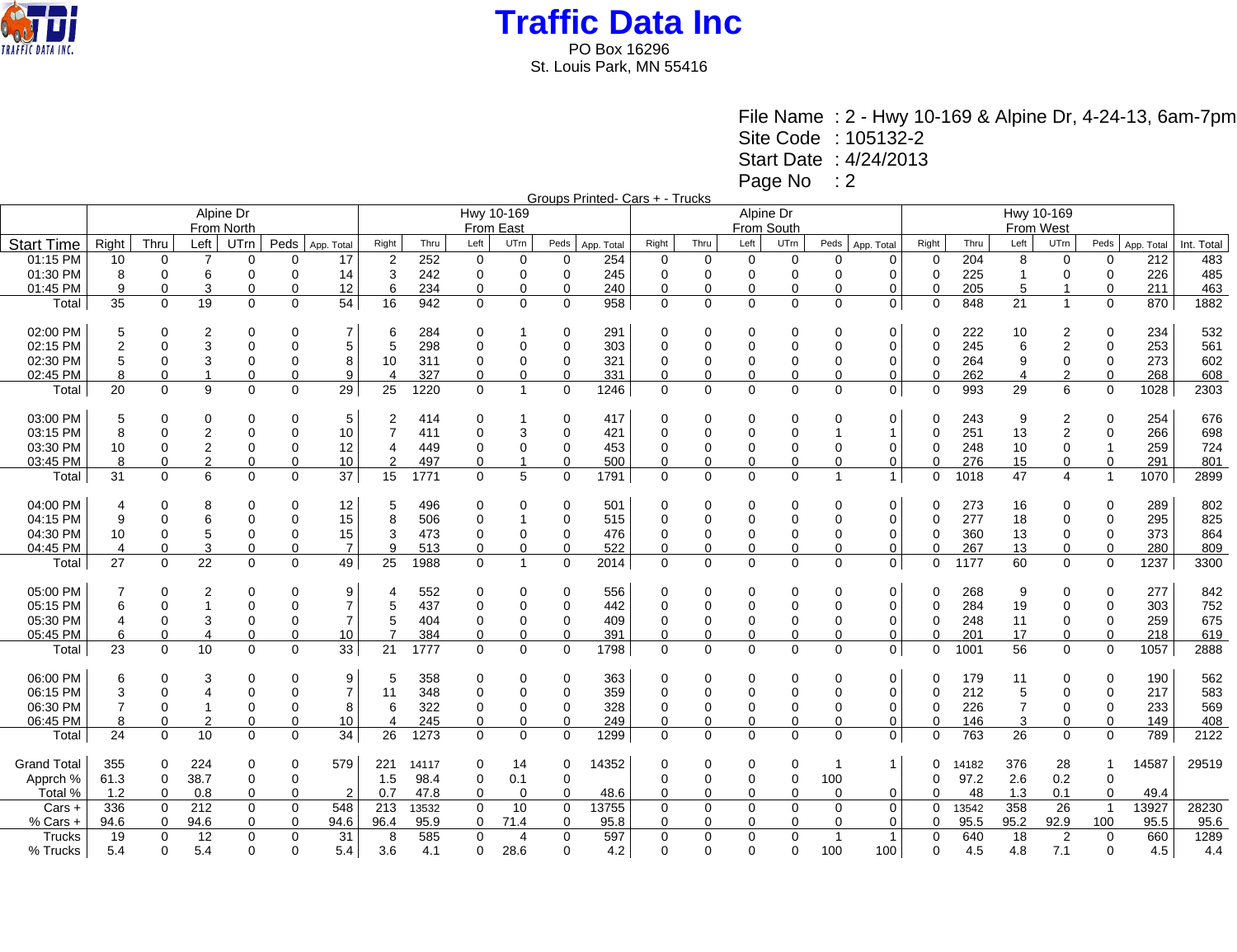

File Name : 2 - Hwy 10-169 & Alpine Dr, 4-24-13, 6am-7pm Site Code : 105132-2 Start Date : 4/24/2013 Page No : 2

| Groups Printed- Cars + - Trucks |  |
|---------------------------------|--|
|                                 |  |

|                    |                |              |                          | Alpine Dr    |             |                | Hwy 10-169     |       |             |                |             |                   |             |          | Alpine Dr   |             |                |                |             |       |                |                  |                |            |            |
|--------------------|----------------|--------------|--------------------------|--------------|-------------|----------------|----------------|-------|-------------|----------------|-------------|-------------------|-------------|----------|-------------|-------------|----------------|----------------|-------------|-------|----------------|------------------|----------------|------------|------------|
|                    |                |              |                          | From North   |             |                | From East      |       |             |                |             |                   |             |          | From South  |             |                |                | From West   |       |                |                  |                |            |            |
| <b>Start Time</b>  | Right          | Thru         | Left                     | UTrn         | Peds        | App. Total     | Right          | Thru  | Left        | UTrn           |             | Peds   App. Total | Right       | Thru     | Left        | UTrn        | Peds           | App. Total     | Right       | Thru  | Left           | UTrn             | Peds           | App. Total | Int. Total |
| 01:15 PM           | 10             | $\mathbf 0$  | $\overline{7}$           | 0            | 0           | 17             | $\overline{2}$ | 252   | 0           | $\mathbf 0$    | 0           | 254               | 0           | 0        | $\mathbf 0$ | 0           | $\Omega$       | 0              | $\Omega$    | 204   | 8              | $\mathbf 0$      | 0              | 212        | 483        |
| 01:30 PM           | 8              | $\Omega$     | 6                        | $\Omega$     | $\Omega$    | 14             | 3              | 242   | $\mathbf 0$ | 0              | $\mathbf 0$ | 245               | $\Omega$    | 0        | $\mathbf 0$ | $\Omega$    | $\Omega$       | $\Omega$       |             | 225   | $\overline{1}$ | $\mathbf 0$      | $\mathbf 0$    | 226        | 485        |
| 01:45 PM           | 9              | $\Omega$     | 3                        | 0            | $\Omega$    | 12             | 6              | 234   | $\Omega$    | 0              | 0           | 240               | 0           | 0        | 0           | 0           | 0              | 0              |             | 205   | 5              |                  | $\Omega$       | 211        | 463        |
| Total              | 35             | $\Omega$     | 19                       | $\Omega$     | $\Omega$    | 54             | 16             | 942   | $\Omega$    | $\Omega$       | $\Omega$    | 958               | $\mathbf 0$ | $\Omega$ | $\Omega$    | $\Omega$    | $\Omega$       | $\mathbf{0}$   | $\Omega$    | 848   | 21             | $\mathbf{1}$     | $\Omega$       | 870        | 1882       |
| 02:00 PM           | 5              | 0            | 2                        | 0            | $\Omega$    | 7              | 6              | 284   | $\Omega$    |                | 0           | 291               | 0           | 0        | 0           | 0           | 0              | 0              | 0           | 222   | 10             |                  | 0              | 234        | 532        |
| 02:15 PM           | $\overline{2}$ | $\Omega$     | 3                        | $\mathbf 0$  | $\Omega$    | $\,$ 5 $\,$    | 5              | 298   | $\Omega$    | $\Omega$       | $\Omega$    | 303               | $\Omega$    | $\Omega$ | $\Omega$    | 0           | $\Omega$       | 0              | $\Omega$    | 245   | 6              | $\boldsymbol{2}$ | $\mathbf 0$    | 253        | 561        |
| 02:30 PM           |                | 0            | 3                        | 0            | $\Omega$    | 8              | 10             | 311   | $\Omega$    | 0              | 0           | 321               | $\Omega$    | 0        | 0           | 0           | 0              | $\mathbf 0$    | $\Omega$    | 264   | 9              | 0                | 0              | 273        | 602        |
| 02:45 PM           |                | 0            |                          | 0            | $\Omega$    | 9              | 4              | 327   | 0           | 0              | 0           | 331               | 0           | 0        | 0           | 0           | $\Omega$       | 0              |             | 262   | 4              | $\overline{2}$   | 0              | 268        | 608        |
| Total              | 20             | $\mathbf 0$  | 9                        | $\mathbf 0$  | $\Omega$    | 29             | 25             | 1220  | $\Omega$    | $\overline{1}$ | $\mathbf 0$ | 1246              | $\mathbf 0$ | 0        | $\mathbf 0$ | $\mathbf 0$ | $\mathbf 0$    | 0 <sup>1</sup> | $\Omega$    | 993   | 29             | 6                | $\mathbf 0$    | 1028       | 2303       |
| 03:00 PM           | 5              | $\Omega$     | $\Omega$                 | 0            | $\Omega$    | 5              | 2              | 414   | $\Omega$    |                | 0           | 417               | $\Omega$    | 0        | $\Omega$    | 0           | $\Omega$       | 0              | $\Omega$    | 243   | 9              | 2                | $\Omega$       | 254        | 676        |
| 03:15 PM           | 8              | $\Omega$     | $\overline{2}$           | $\Omega$     | $\Omega$    | 10             | 7              | 411   | $\Omega$    | 3              | $\Omega$    | 421               | $\Omega$    | $\Omega$ | $\Omega$    | 0           |                | $\mathbf{1}$   | $\Omega$    | 251   | 13             | 2                | $\mathbf 0$    | 266        | 698        |
| 03:30 PM           | 10             | 0            | $\overline{2}$           | 0            | $\mathbf 0$ | 12             | 4              | 449   | 0           | 0              | 0           | 453               | 0           | 0        | 0           | 0           | 0              | $\mathbf 0$    | 0           | 248   | 10             | 0                |                | 259        | 724        |
| 03:45 PM           | 8              | $\Omega$     | $\overline{2}$           | 0            | $\Omega$    | 10             | 2              | 497   | $\Omega$    | 1              | $\Omega$    | 500               | 0           | 0        | $\Omega$    | 0           | $\Omega$       | 0              |             | 276   | 15             | 0                | 0              | 291        | 801        |
| Total              | 31             | $\mathbf 0$  | 6                        | $\mathbf 0$  | $\Omega$    | 37             | 15             | 1771  | $\Omega$    | 5              | $\Omega$    | 1791              | $\mathbf 0$ | 0        | $\mathbf 0$ | $\Omega$    | $\mathbf{1}$   | 1 <sup>1</sup> | $\Omega$    | 1018  | 47             | 4                | $\overline{1}$ | 1070       | 2899       |
| 04:00 PM           | 4              | 0            | 8                        | $\Omega$     | $\Omega$    | 12             | 5              | 496   | $\Omega$    | 0              | 0           | 501               | $\Omega$    | 0        | $\Omega$    | 0           | 0              | $\mathbf 0$    | 0           | 273   | 16             | 0                | $\Omega$       | 289        | 802        |
| 04:15 PM           | 9              | $\Omega$     | 6                        | $\Omega$     | $\Omega$    | 15             | 8              | 506   | $\Omega$    | 1              | $\Omega$    | 515               | $\Omega$    | $\Omega$ | $\Omega$    | 0           | $\Omega$       | $\mathbf 0$    | $\mathbf 0$ | 277   | 18             | 0                | $\Omega$       | 295        | 825        |
| 04:30 PM           | 10             | 0            | 5                        | $\mathbf 0$  | $\Omega$    | 15             | 3              | 473   | $\Omega$    | $\Omega$       | $\Omega$    | 476               | $\Omega$    | 0        | 0           | 0           | 0              | $\mathbf 0$    | $\Omega$    | 360   | 13             | 0                | 0              | 373        | 864        |
| 04:45 PM           | $\overline{4}$ | $\Omega$     | 3                        | $\Omega$     | $\Omega$    | $\overline{7}$ | 9              | 513   | 0           | 0              | 0           | 522               | 0           | 0        | $\Omega$    | 0           | $\Omega$       | 0              | $\Omega$    | 267   | 13             | $\Omega$         | 0              | 280        | 809        |
| Total              | 27             | $\mathbf{0}$ | 22                       | $\mathbf{0}$ | $\Omega$    | 49             | 25             | 1988  | $\Omega$    | $\overline{1}$ | 0           | 2014              | $\mathbf 0$ | 0        | 0           | $\mathbf 0$ | 0              | 0 <sup>1</sup> | $\Omega$    | 1177  | 60             | 0                | $\mathbf 0$    | 1237       | 3300       |
| 05:00 PM           |                | 0            | 2                        | 0            | $\Omega$    | 9              |                | 552   | 0           | 0              | 0           | 556               | 0           | 0        | $\Omega$    | 0           | 0              | 0              | 0           | 268   | 9              | 0                | 0              | 277        | 842        |
| 05:15 PM           | 6              | $\Omega$     | $\mathbf{1}$             | $\Omega$     | $\Omega$    | $\overline{7}$ | 5              | 437   | $\Omega$    | $\Omega$       | $\Omega$    | 442               | $\Omega$    | $\Omega$ | $\Omega$    | $\Omega$    | $\Omega$       | $\mathbf 0$    | $\Omega$    | 284   | 19             | 0                | $\mathbf 0$    | 303        | 752        |
| 05:30 PM           |                | 0            | 3                        | 0            | $\Omega$    | $\overline{7}$ | 5              | 404   | $\Omega$    | 0              | 0           | 409               | 0           | 0        | 0           | 0           | 0              | 0              | $\Omega$    | 248   | 11             | 0                | 0              | 259        | 675        |
| 05:45 PM           | 6              | $\Omega$     | $\overline{\mathcal{A}}$ | $\mathbf 0$  | $\Omega$    | 10             |                | 384   | 0           | 0              | $\Omega$    | 391               | 0           | 0        | $\Omega$    | 0           | $\Omega$       | 0              |             | 201   | 17             | 0                | 0              | 218        | 619        |
| Total              | 23             | $\Omega$     | 10                       | $\Omega$     | $\Omega$    | 33             | 21             | 1777  | $\Omega$    | $\Omega$       | $\Omega$    | 1798              | $\mathbf 0$ | 0        | $\Omega$    | $\Omega$    | $\Omega$       | $\mathbf 0$    | $\Omega$    | 1001  | 56             | $\Omega$         | $\mathbf 0$    | 1057       | 2888       |
| 06:00 PM           | 6              | 0            | 3                        | 0            | $\Omega$    | 9              | 5              | 358   | 0           | 0              | 0           | 363               | 0           | 0        | 0           | 0           | 0              | 0              | 0           | 179   | 11             | 0                | 0              | 190        | 562        |
| 06:15 PM           | 3              | $\Omega$     | 4                        | $\Omega$     | $\Omega$    | $\overline{7}$ | 11             | 348   | $\Omega$    | $\Omega$       | 0           | 359               | $\Omega$    | 0        | $\Omega$    | 0           | 0              | 0              | $\Omega$    | 212   | 5              | 0                | 0              | 217        | 583        |
| 06:30 PM           |                | 0            | -1                       | 0            | $\Omega$    | 8              | 6              | 322   | $\Omega$    | 0              | 0           | 328               | 0           | 0        | 0           | 0           | 0              | 0              | $\Omega$    | 226   | 7              | 0                | 0              | 233        | 569        |
| 06:45 PM           | 8              | $\Omega$     | $\overline{2}$           | $\mathbf 0$  | 0           | 10             | $\overline{4}$ | 245   | 0           | 0              | 0           | 249               | 0           | 0        | 0           | 0           | $\Omega$       | 0              |             | 146   | 3              | 0                | 0              | 149        | 408        |
| Total              | 24             | $\mathbf 0$  | 10                       | 0            | $\Omega$    | 34             | 26             | 1273  | $\Omega$    | $\Omega$       | $\mathbf 0$ | 1299              | $\mathbf 0$ | 0        | $\Omega$    | $\Omega$    | $\Omega$       | $\mathbf 0$    | $\Omega$    | 763   | 26             | $\mathbf 0$      | $\mathbf 0$    | 789        | 2122       |
| <b>Grand Total</b> | 355            | 0            | 224                      | $\Omega$     | $\Omega$    | 579            | 221            | 14117 | $\Omega$    | 14             | 0           | 14352             | $\Omega$    | 0        | 0           | 0           |                | $\mathbf{1}$   | 0           | 14182 | 376            | 28               | -1             | 14587      | 29519      |
| Apprch %           | 61.3           | $\mathbf 0$  | 38.7                     | $\mathbf 0$  | 0           |                | 1.5            | 98.4  | $\mathbf 0$ | 0.1            | 0           |                   | $\Omega$    | 0        | $\Omega$    | 0           | 100            |                | $\Omega$    | 97.2  | 2.6            | 0.2              | $\mathbf 0$    |            |            |
| Total %            | 1.2            | 0            | 0.8                      | 0            | $\Omega$    | 2              | 0.7            | 47.8  | 0           | 0              | 0           | 48.6              | 0           | 0        |             | 0           | $\Omega$       | 0              |             | 48    | 1.3            | 0.1              | 0              | 49.4       |            |
| Cars +             | 336            | $\mathbf 0$  | 212                      | 0            | $\mathbf 0$ | 548            | 213            | 13532 | $\mathbf 0$ | 10             | 0           | 13755             | 0           | 0        | 0           | 0           | $\mathbf 0$    | $\mathbf 0$    |             | 13542 | 358            | 26               | $\overline{1}$ | 13927      | 28230      |
| % Cars +           | 94.6           | 0            | 94.6                     | 0            | 0           | 94.6           | 96.4           | 95.9  | 0           | 71.4           | 0           | 95.8              | 0           | 0        |             | 0           | 0              | 0              |             | 95.5  | 95.2           | 92.9             | 100            | 95.5       | 95.6       |
| Trucks             | 19             | $\Omega$     | 12                       | $\mathbf 0$  | $\mathbf 0$ | 31             | 8              | 585   | $\Omega$    | $\overline{4}$ | 0           | 597               | $\mathbf 0$ | 0        | 0           | 0           | $\overline{1}$ | $\mathbf{1}$   |             | 640   | 18             | $\sqrt{2}$       | $\mathbf 0$    | 660        | 1289       |
| % Trucks           | 5.4            | $\Omega$     | 5.4                      | $\Omega$     | $\Omega$    | 5.4            | 3.6            | 4.1   | $\Omega$    | 28.6           | $\Omega$    | 4.2               | $\Omega$    | $\Omega$ | $\Omega$    | 0           | 100            | 100            | $\Omega$    | 4.5   | 4.8            | 7.1              | 0              | 4.5        | 4.4        |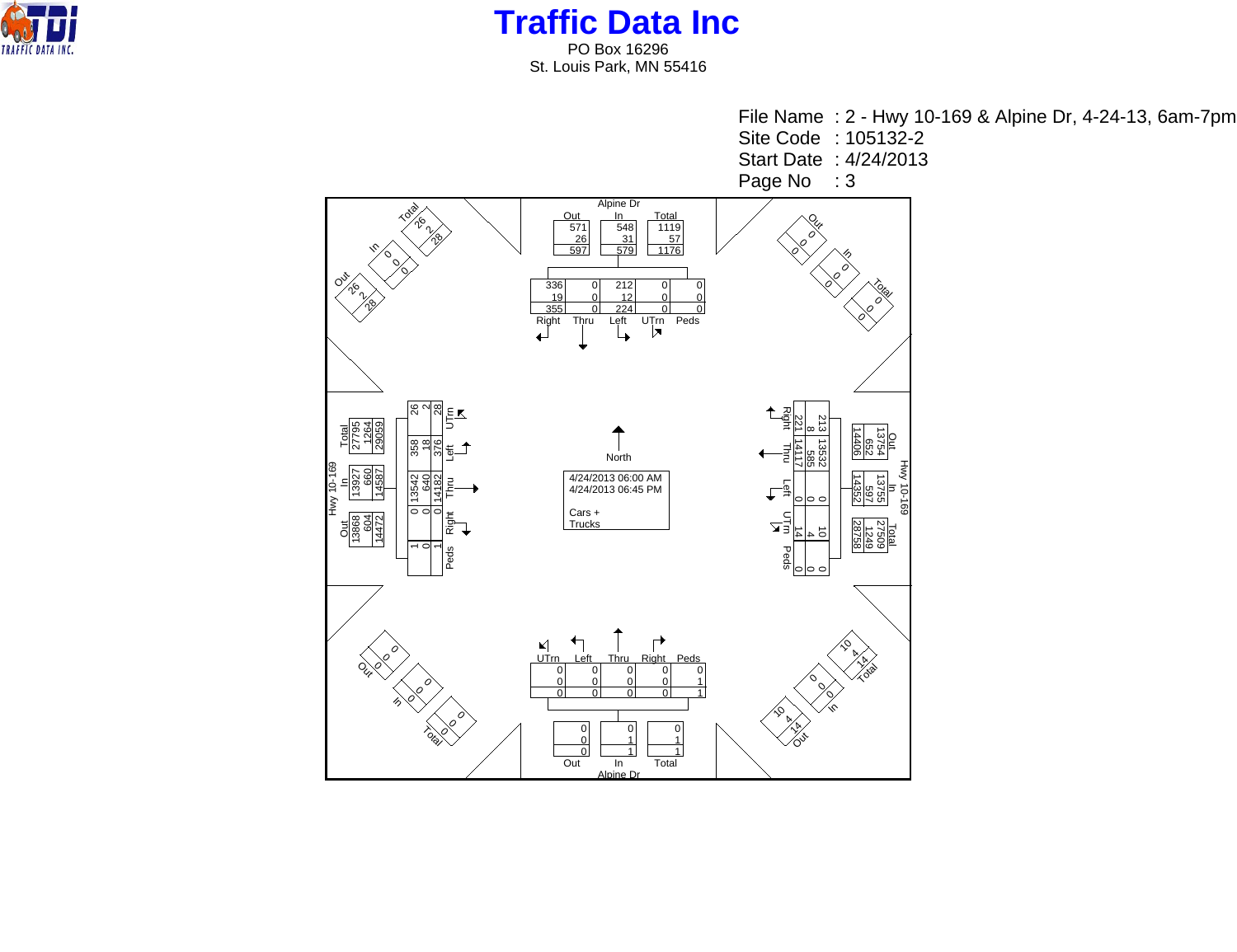